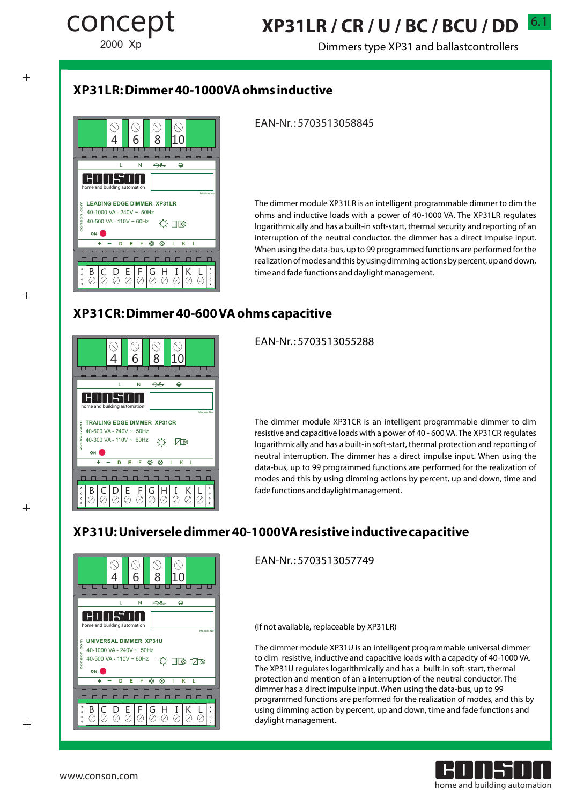$\overline{+}$ 

 $+$ 

 $+$ 

# 6.1 **XP31LR / CR / U / BC / BCU / DD**

Dimmers type XP31 and ballastcontrollers

## **XP31LR: Dimmer 40-1000VAohms inductive**



### EAN-Nr. : 5703513058845

The dimmer module XP31LR is an intelligent programmable dimmer to dim the ohms and inductive loads with a power of 40-1000 VA. The XP31LR regulates logarithmically and has a built-in soft-start, thermal security and reporting of an interruption of the neutral conductor. the dimmer has a direct impulse input. When using the data-bus, up to 99 programmed functions are performed for the realization of modes and this by using dimming actions by percent, up and down, time and fade functions and daylight management.

## **XP31CR: Dimmer 40-600 VAohms capacitive**



EAN-Nr. : 5703513055288

The dimmer module XP31CR is an intelligent programmable dimmer to dim resistive and capacitive loads with a power of 40 - 600 VA. The XP31CR regulates logarithmically and has a built-in soft-start, thermal protection and reporting of neutral interruption. The dimmer has a direct impulse input. When using the data-bus, up to 99 programmed functions are performed for the realization of modes and this by using dimming actions by percent, up and down, time and fade functions and daylight management.

## **XP31U: Universele dimmer 40-1000VAresistive inductive capacitive**



EAN-Nr. : 5703513057749

(If not available, replaceable by XP31LR)

The dimmer module XP31U is an intelligent programmable universal dimmer to dim resistive, inductive and capacitive loads with a capacity of 40-1000 VA. The XP31U regulates logarithmically and has a built-in soft-start, thermal protection and mention of an a interruption of the neutral conductor. The dimmer has a direct impulse input. When using the data-bus, up to 99 programmed functions are performed for the realization of modes, and this by using dimming action by percent, up and down, time and fade functions and daylight management.

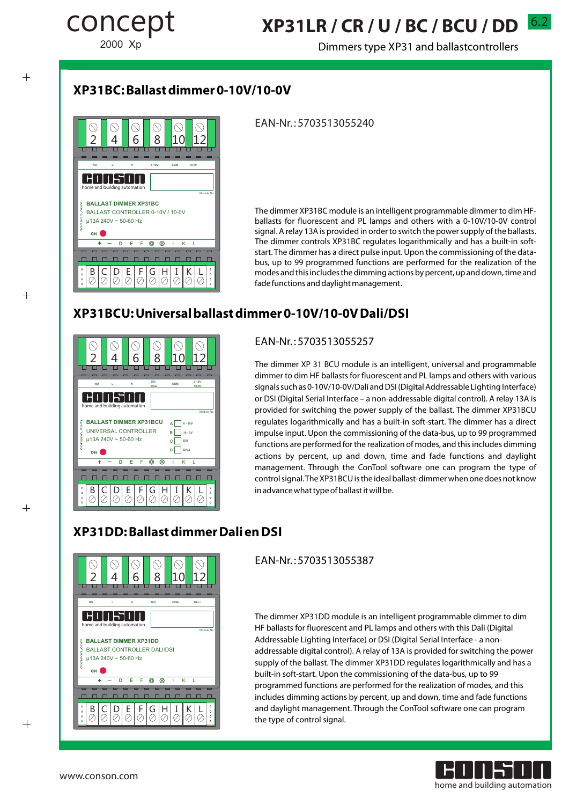$+$ 

 $+$ 

 $+$ 

# 6.2 **XP31LR / CR / U / BC / BCU / DD**

Dimmers type XP31 and ballastcontrollers

## **XP31BC: Ballast dimmer 0-10V/10-0V**



### EAN-Nr. : 5703513055240

The dimmer XP31BC module is an intelligent programmable dimmer to dim HFballasts for fluorescent and PL lamps and others with a 0-10V/10-0V control signal. A relay 13A is provided in order to switch the power supply of the ballasts. The dimmer controls XP31BC regulates logarithmically and has a built-in softstart. The dimmer has a direct pulse input. Upon the commissioning of the databus, up to 99 programmed functions are performed for the realization of the modes and this includes the dimming actions by percent, up and down, time and fade functions and daylight management.

## **XP31BCU: Universal ballast dimmer 0-10V/10-0V Dali/DSI**



### EAN-Nr. : 5703513055257

The dimmer XP 31 BCU module is an intelligent, universal and programmable dimmer to dim HF ballasts for fluorescent and PL lamps and others with various signals such as 0-10V/10-0V/Dali and DSI (Digital Addressable Lighting Interface) or DSI (Digital Serial Interface – a non-addressable digital control). A relay 13A is provided for switching the power supply of the ballast. The dimmer XP31BCU regulates logarithmically and has a built-in soft-start. The dimmer has a direct impulse input. Upon the commissioning of the data-bus, up to 99 programmed functions are performed for the realization of modes, and this includes dimming actions by percent, up and down, time and fade functions and daylight management. Through the ConTool software one can program the type of control signal. The XP31BCU is the ideal ballast-dimmer when one does not know in advance what type of ballast it will be.

### **XP31DD: Ballast dimmer Dali en DSI**



EAN-Nr. : 5703513055387

The dimmer XP31DD module is an intelligent programmable dimmer to dim HF ballasts for fluorescent and PL lamps and others with this Dali (Digital Addressable Lighting Interface) or DSI (Digital Serial Interface - a nonaddressable digital control). A relay of 13A is provided for switching the power supply of the ballast. The dimmer XP31DD regulates logarithmically and has a built-in soft-start. Upon the commissioning of the data-bus, up to 99 programmed functions are performed for the realization of modes, and this includes dimming actions by percent, up and down, time and fade functions and daylight management. Through the ConTool software one can program the type of control signal.

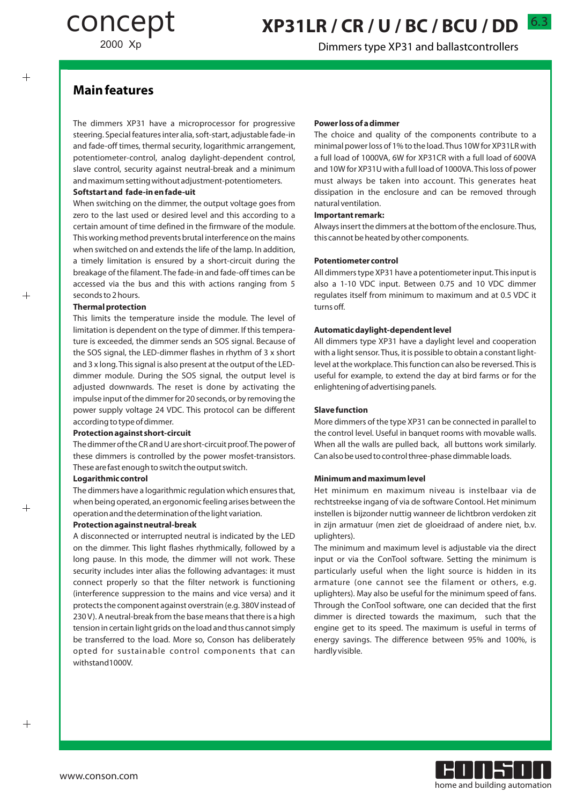# 6.3 **XP31LR / CR / U / BC / BCU / DD**

Dimmers type XP31 and ballastcontrollers

### **Main features**

 $+$ 

 $^{+}$ 

 $+$ 

The dimmers XP31 have a microprocessor for progressive steering. Special features inter alia, soft-start, adjustable fade-in and fade-off times, thermal security, logarithmic arrangement, potentiometer-control, analog daylight-dependent control, slave control, security against neutral-break and a minimum and maximum setting without adjustment-potentiometers.

#### **Softstart and fade-in en fade-uit**

When switching on the dimmer, the output voltage goes from zero to the last used or desired level and this according to a certain amount of time defined in the firmware of the module. This working method prevents brutal interference on the mains when switched on and extends the life of the lamp. In addition, a timely limitation is ensured by a short-circuit during the breakage of the filament. The fade-in and fade-off times can be accessed via the bus and this with actions ranging from 5 seconds to 2 hours.

#### **Thermal protection**

This limits the temperature inside the module. The level of limitation is dependent on the type of dimmer. If this temperature is exceeded, the dimmer sends an SOS signal. Because of the SOS signal, the LED-dimmer flashes in rhythm of 3 x short and 3 x long. This signal is also present at the output of the LEDdimmer module. During the SOS signal, the output level is adjusted downwards. The reset is done by activating the impulse input of the dimmer for 20 seconds, or by removing the power supply voltage 24 VDC. This protocol can be different according to type of dimmer.

#### **Protection against short-circuit**

The dimmer of the CR and U are short-circuit proof. The power of these dimmers is controlled by the power mosfet-transistors. These are fast enough to switch the output switch.

#### **Logarithmic control**

The dimmers have a logarithmic regulation which ensures that, when being operated, an ergonomic feeling arises between the operation and the determination of the light variation.

#### **Protection against neutral-break**

A disconnected or interrupted neutral is indicated by the LED on the dimmer. This light flashes rhythmically, followed by a long pause. In this mode, the dimmer will not work. These security includes inter alias the following advantages: it must connect properly so that the filter network is functioning (interference suppression to the mains and vice versa) and it protects the component against overstrain (e.g. 380V instead of 230 V). A neutral-break from the base means that there is a high tension in certain light grids on the load and thus cannot simply be transferred to the load. More so, Conson has deliberately opted for sustainable control components that can withstand1000V.

#### **Power loss of a dimmer**

The choice and quality of the components contribute to a minimal power loss of 1% to the load. Thus 10W for XP31LR with a full load of 1000VA, 6W for XP31CR with a full load of 600VA and 10W for XP31U with a full load of 1000VA. This loss of power must always be taken into account. This generates heat dissipation in the enclosure and can be removed through natural ventilation.

#### **Important remark:**

Always insert the dimmers at the bottom of the enclosure. Thus, this cannot be heated by other components.

#### **Potentiometer control**

All dimmers type XP31 have a potentiometer input. This input is also a 1-10 VDC input. Between 0.75 and 10 VDC dimmer regulates itself from minimum to maximum and at 0.5 VDC it turns off.

#### **Automatic daylight-dependent level**

All dimmers type XP31 have a daylight level and cooperation with a light sensor. Thus, it is possible to obtain a constant lightlevel at the workplace. This function can also be reversed. This is useful for example, to extend the day at bird farms or for the enlightening of advertising panels.

#### **Slave function**

More dimmers of the type XP31 can be connected in parallel to the control level. Useful in banquet rooms with movable walls. When all the walls are pulled back, all buttons work similarly. Can also be used to control three-phase dimmable loads.

#### **Minimum and maximum level**

Het minimum en maximum niveau is instelbaar via de rechtstreekse ingang of via de software Contool. Het minimum instellen is bijzonder nuttig wanneer de lichtbron verdoken zit in zijn armatuur (men ziet de gloeidraad of andere niet, b.v. uplighters).

The minimum and maximum level is adjustable via the direct input or via the ConTool software. Setting the minimum is particularly useful when the light source is hidden in its armature (one cannot see the filament or others, e.g. uplighters). May also be useful for the minimum speed of fans. Through the ConTool software, one can decided that the first dimmer is directed towards the maximum, such that the engine get to its speed. The maximum is useful in terms of energy savings. The difference between 95% and 100%, is hardly visible.

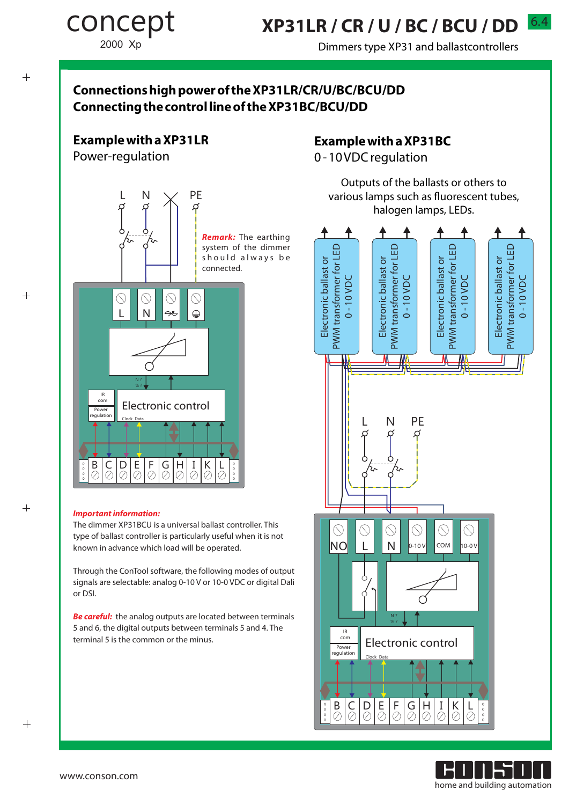6.4 **XP31LR / CR / U / BC / BCU / DD** 

Dimmers type XP31 and ballastcontrollers

## **Connections high power of the XP31LR/CR/U/BC/BCU/DD Connecting the control line of the XP31BC/BCU/DD**

### **Example with a XP31LR**

Power-regulation

concept

2000 Xp



#### **Important information:**

The dimmer XP31BCU is a universal ballast controller. This type of ballast controller is particularly useful when it is not known in advance which load will be operated.

Through the ConTool software, the following modes of output signals are selectable: analog 0-10 V or 10-0 VDC or digital Dali or DSI.

**Be careful:** the analog outputs are located between terminals 5 and 6, the digital outputs between terminals 5 and 4. The terminal 5 is the common or the minus.

## **Example with a XP31BC**

0 - 10 VDC regulation

Outputs of the ballasts or others to various lamps such as fluorescent tubes, halogen lamps, LEDs.





 $+$ 

 $^{+}$ 

 $+$ 

 $^{+}$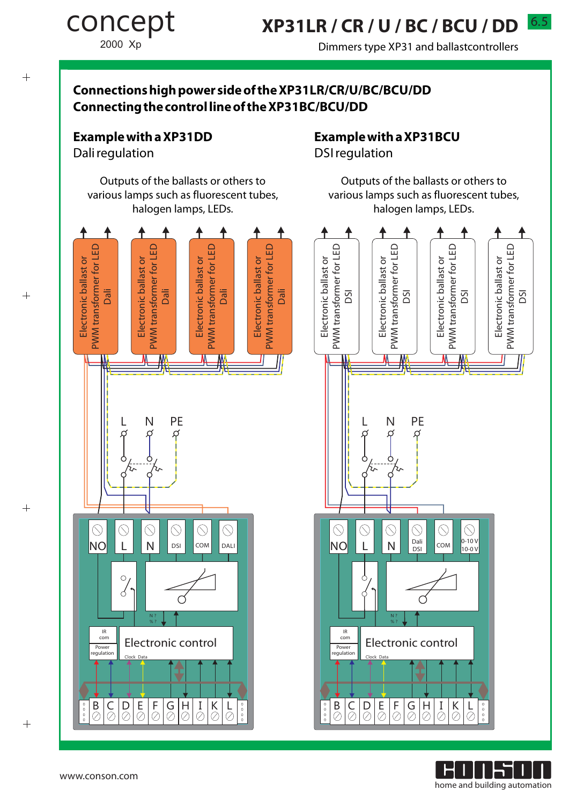# **XP31LR / CR / U / BC / BCU / DD**

Dimmers type XP31 and ballastcontrollers

## **Connections high power side of the XP31LR/CR/U/BC/BCU/DD Connecting the control line of the XP31BC/BCU/DD**

### **Example with a XP31DD**

Dali regulation

concept

2000 Xp

Outputs of the ballasts or others to various lamps such as fluorescent tubes, halogen lamps, LEDs.

## **Example with a XP31BCU**

Electronic ballast or PWM transformer for LED M transformer for LED DSI

DSIregulation

Electronic ballast or PWM transformer for LED M transformer for LED DSI

₳

Outputs of the ballasts or others to various lamps such as fluorescent tubes, halogen lamps, LEDs.

> Electronic ballast or PWM transformer for LED M transformer for LED DSI

Electronic ballast or



٦ home and building automation

B C D E F G H I K L

Clock Data

ろぃ

 $\circledcirc$ 

Ċ

Electronic control

N ? % ?

IR com Power regulatio

 $\overline{\circ \circ \circ}$ 

NO

 $\circledcirc$ 

 $L$   $N$   $S_I$   $COM$ 

 $\bigcirc$ 

 $\bigcircled{\scriptstyle{\bigcirc}}$ Dali DSI

 $\circledcirc$ 

Q

 $0 - 10V$ 10-0 V

 $\circledcirc$ 

Electronic ballast or PWM transformer for LED M transformer for LED DSI

Electronic ballast or

 $^{+}$ 

 $+$ 

 $^{+}$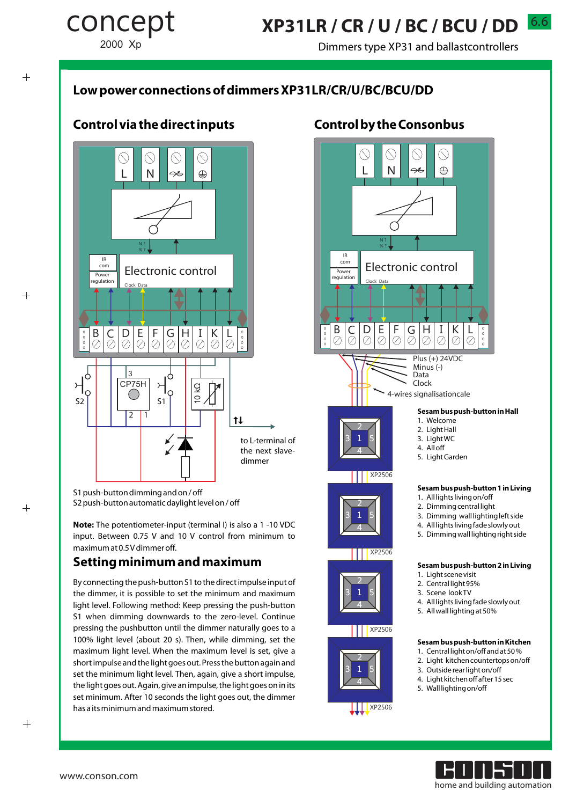Dimmers type XP31 and ballastcontrollers

## **Low power connections of dimmers XP31LR/CR/U/BC/BCU/DD**

## **Control via the direct inputs**



S1 push-button dimming and on / off S2 push-button automatic daylight level on / off

**Note:** The potentiometer-input (terminal I) is also a 1 -10 VDC input. Between 0.75 V and 10 V control from minimum to maximum at 0.5 V dimmer off.

### **Setting minimum and maximum**

By connecting the push-button S1 to the direct impulse input of the dimmer, it is possible to set the minimum and maximum light level. Following method: Keep pressing the push-button S1 when dimming downwards to the zero-level. Continue pressing the pushbutton until the dimmer naturally goes to a 100% light level (about 20 s). Then, while dimming, set the maximum light level. When the maximum level is set, give a short impulse and the light goes out. Press the button again and set the minimum light level. Then, again, give a short impulse, the light goes out. Again, give an impulse, the light goes on in its set minimum. After 10 seconds the light goes out, the dimmer has a its minimum and maximum stored.

### **Control by the Consonbus**





concept

2000 Xp

 $\overline{+}$ 

 $^{+}$ 

 $+$ 

www.conson.com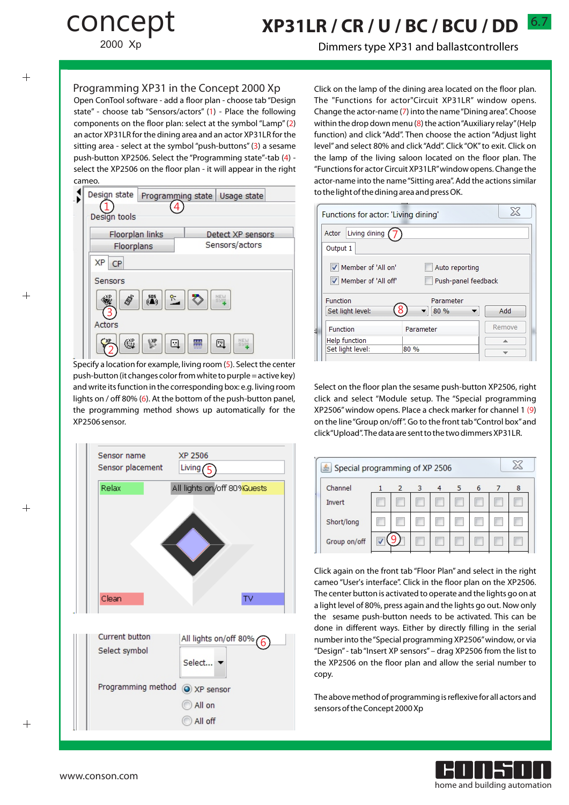# concept

2000 Xp

# 6.7 **XP31LR / CR / U / BC / BCU / DD**

Dimmers type XP31 and ballastcontrollers

#### Programming XP31 in the Concept 2000 Xp

Open ConTool software - add a floor plan - choose tab "Design state" - choose tab "Sensors/actors" (1) - Place the following components on the floor plan: select at the symbol "Lamp"(2) an actor XP31LR for the dining area and an actor XP31LR for the sitting area - select at the symbol "push-buttons"(3) a sesame push-button XP2506. Select the "Programming state"-tab (4) select the XP2506 on the floor plan - it will appear in the right cameo.



Specify a location for example, living room (5). Select the center push-button (it changes color from white to purple = active key) and write its function in the corresponding box: e.g. living room lights on / off 80% (6). At the bottom of the push-button panel, the programming method shows up automatically for the XP2506 sensor.



Click on the lamp of the dining area located on the floor plan. The "Functions for actor"Circuit XP31LR" window opens. Change the actor-name (7) into the name "Dining area". Choose within the drop down menu (8) the action "Auxiliary relay"(Help function) and click "Add". Then choose the action "Adjust light level" and select 80% and click "Add". Click "OK" to exit. Click on the lamp of the living saloon located on the floor plan. The "Functions for actor Circuit XP31LR"window opens. Change the actor-name into the name "Sitting area". Add the actions similar to the light of the dining area and press OK.

| Functions for actor: 'Living dining' | X                   |  |        |
|--------------------------------------|---------------------|--|--------|
| Living dining (<br>Actor             |                     |  |        |
| Output 1                             |                     |  |        |
| Member of 'All on'                   | Auto reporting      |  |        |
| Member of 'All off'                  | Push-panel feedback |  |        |
| Function                             | Parameter           |  |        |
| Set light level:                     | 80 %                |  | Add    |
| Function                             | Parameter           |  | Remove |
| Help function                        |                     |  | 盀      |
| Set light level:                     | 80 %                |  |        |

Select on the floor plan the sesame push-button XP2506, right click and select "Module setup. The "Special programming XP2506" window opens. Place a check marker for channel 1 (9) on the line "Group on/off". Go to the front tab "Control box"and click "Upload". The data are sent to the two dimmers XP31LR.

| Special programming of XP 2506 |  |                |                |  |   |   |   |   |
|--------------------------------|--|----------------|----------------|--|---|---|---|---|
| Channel                        |  | $\overline{2}$ | $\overline{3}$ |  | 5 | 6 | 7 | 8 |
| Invert                         |  |                |                |  |   |   |   |   |
| Short/long                     |  |                |                |  |   |   |   |   |
| Group on/off                   |  |                |                |  |   |   |   |   |

Click again on the front tab "Floor Plan" and select in the right cameo "User's interface". Click in the floor plan on the XP2506. The center button is activated to operate and the lights go on at a light level of 80%, press again and the lights go out. Now only the sesame push-button needs to be activated. This can be done in different ways. Either by directly filling in the serial number into the "Special programming XP2506"window, or via "Design" - tab "Insert XP sensors" – drag XP2506 from the list to the XP2506 on the floor plan and allow the serial number to copy.

The above method of programming is reflexive for all actors and sensors of the Concept 2000 Xp



 $^{+}$ 

 $\overline{+}$ 

 $^{+}$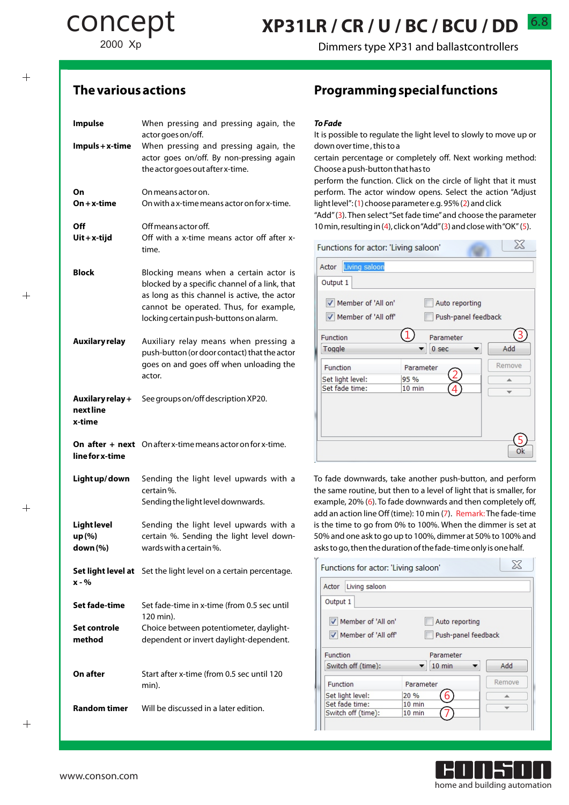2000 Xp

concept

Dimmers type XP31 and ballastcontrollers

6.8

### $+$

 $^{+}$ 

 $+$ 

| <b>Impulse</b>                           | When pressing and pressing again, the<br>actor goes on/off.                                                                                                                                                                 |
|------------------------------------------|-----------------------------------------------------------------------------------------------------------------------------------------------------------------------------------------------------------------------------|
| $Impuls + x-time$                        | When pressing and pressing again, the<br>actor goes on/off. By non-pressing again<br>the actor goes out after x-time.                                                                                                       |
| On<br>$On + x-time$                      | On means actor on.<br>On with a x-time means actor on for x-time.                                                                                                                                                           |
| Off<br>$U$ it + x-tijd                   | Off means actor off.<br>Off with a x-time means actor off after x-<br>time.                                                                                                                                                 |
| <b>Block</b>                             | Blocking means when a certain actor is<br>blocked by a specific channel of a link, that<br>as long as this channel is active, the actor<br>cannot be operated. Thus, for example,<br>locking certain push-buttons on alarm. |
| <b>Auxilary relay</b>                    | Auxiliary relay means when pressing a<br>push-button (or door contact) that the actor<br>goes on and goes off when unloading the<br>actor.                                                                                  |
| Auxilary relay +<br>next line<br>x-time  | See groups on/off description XP20.                                                                                                                                                                                         |
| line for x-time                          | On after + next On after x-time means actor on for x-time.                                                                                                                                                                  |
| Light up/down                            | Sending the light level upwards with a<br>certain%.<br>Sending the light level downwards.                                                                                                                                   |
| <b>Light level</b><br>up (%)<br>down (%) | Sending the light level upwards with a<br>certain %. Sending the light level down-<br>wards with a certain%.                                                                                                                |
| x - %                                    | <b>Set light level at</b> Set the light level on a certain percentage.                                                                                                                                                      |
| Set fade-time                            | Set fade-time in x-time (from 0.5 sec until<br>120 min).                                                                                                                                                                    |
| Set controle<br>method                   | Choice between potentiometer, daylight-<br>dependent or invert daylight-dependent.                                                                                                                                          |
| On after                                 | Start after x-time (from 0.5 sec until 120<br>min).                                                                                                                                                                         |
| <b>Random timer</b>                      | Will be discussed in a later edition.                                                                                                                                                                                       |

## **The various actions Programming special functions**

#### **To Fade**

It is possible to regulate the light level to slowly to move up or down over time , this to a

certain percentage or completely off. Next working method: Choose a push-button that has to

perform the function. Click on the circle of light that it must perform. The actor window opens. Select the action "Adjust light level": (1) choose parameter e.g. 95% (2) and click

"Add"(3). Then select "Set fade time"and choose the parameter 10 min, resulting in (4), click on "Add"(3) and close with "OK" (5).

| Functions for actor: 'Living saloon' |                  |                     | 25     |
|--------------------------------------|------------------|---------------------|--------|
| Living saloon<br>Actor               |                  |                     |        |
| Output 1                             |                  |                     |        |
| Member of 'All on'                   |                  | Auto reporting      |        |
| Member of 'All off'                  |                  | Push-panel feedback |        |
| Function                             |                  | Parameter           |        |
| Toggle                               |                  | 0 <sub>sec</sub>    | Add    |
| Function                             | Parameter        |                     | Remove |
| Set light level:<br>Set fade time:   | 95 %<br>$10$ min | 4                   | ∸      |
|                                      |                  |                     |        |
|                                      |                  |                     |        |
|                                      |                  |                     |        |
|                                      |                  |                     |        |
|                                      |                  |                     | Ok     |

To fade downwards, take another push-button, and perform the same routine, but then to a level of light that is smaller, for example, 20% (6). To fade downwards and then completely off, add an action line Off (time): 10 min (7). Remark: The fade-time is the time to go from 0% to 100%. When the dimmer is set at 50% and one ask to go up to 100%, dimmer at 50% to 100% and asks to go, then the duration of the fade-time only is one half.

| Functions for actor: 'Living saloon'       |                  |           |  |        |  |
|--------------------------------------------|------------------|-----------|--|--------|--|
| Living saloon<br>Actor                     |                  |           |  |        |  |
| Output 1                                   |                  |           |  |        |  |
| Member of 'All on'<br>Auto reporting       |                  |           |  |        |  |
| Member of 'All off'<br>Push-panel feedback |                  |           |  |        |  |
| Function                                   |                  | Parameter |  |        |  |
| Switch off (time):                         |                  | 10 min    |  | Add    |  |
| Function                                   | Parameter        |           |  | Remove |  |
| Set light level:                           | 20 %             | h         |  |        |  |
| Set fade time:                             | $10$ min         |           |  |        |  |
| Switch off (time):                         | $10 \text{ min}$ |           |  |        |  |
|                                            |                  |           |  |        |  |